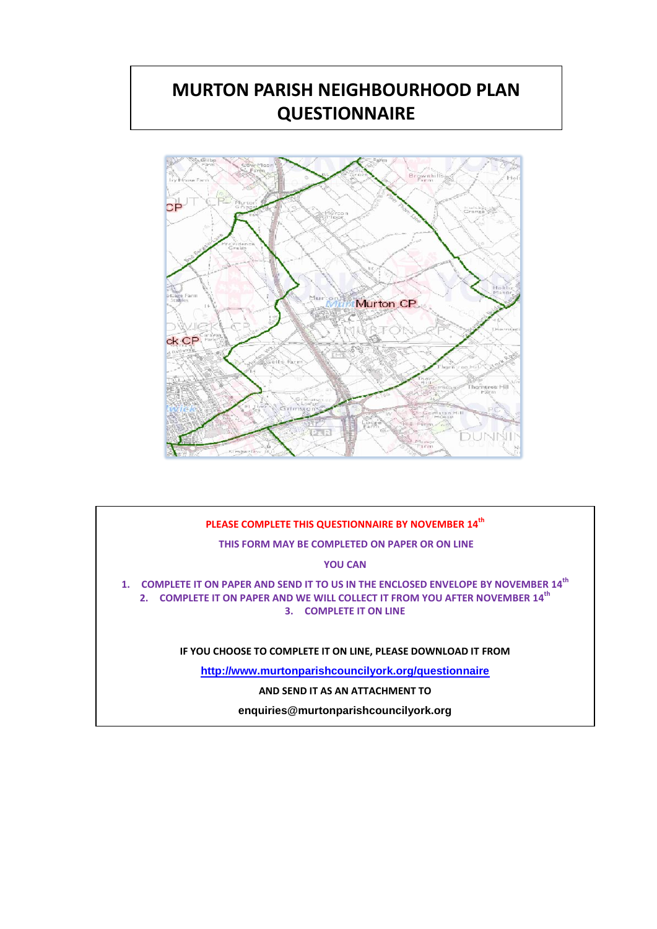# **MURTON PARISH NEIGHBOURHOOD PLAN QUESTIONNAIRE**



# **PLEASE COMPLETE THIS QUESTIONNAIRE BY NOVEMBER 14th THIS FORM MAY BE COMPLETED ON PAPER OR ON LINE YOU CAN 1. COMPLETE IT ON PAPER AND SEND IT TO US IN THE ENCLOSED ENVELOPE BY NOVEMBER 14th 2. COMPLETE IT ON PAPER AND WE WILL COLLECT IT FROM YOU AFTER NOVEMBER 14th 3. COMPLETE IT ON LINE IF YOU CHOOSE TO COMPLETE IT ON LINE, PLEASE DOWNLOAD IT FROM <http://www.murtonparishcouncilyork.org/questionnaire> AND SEND IT AS AN ATTACHMENT TO enquiries@murtonparishcouncilyork.org**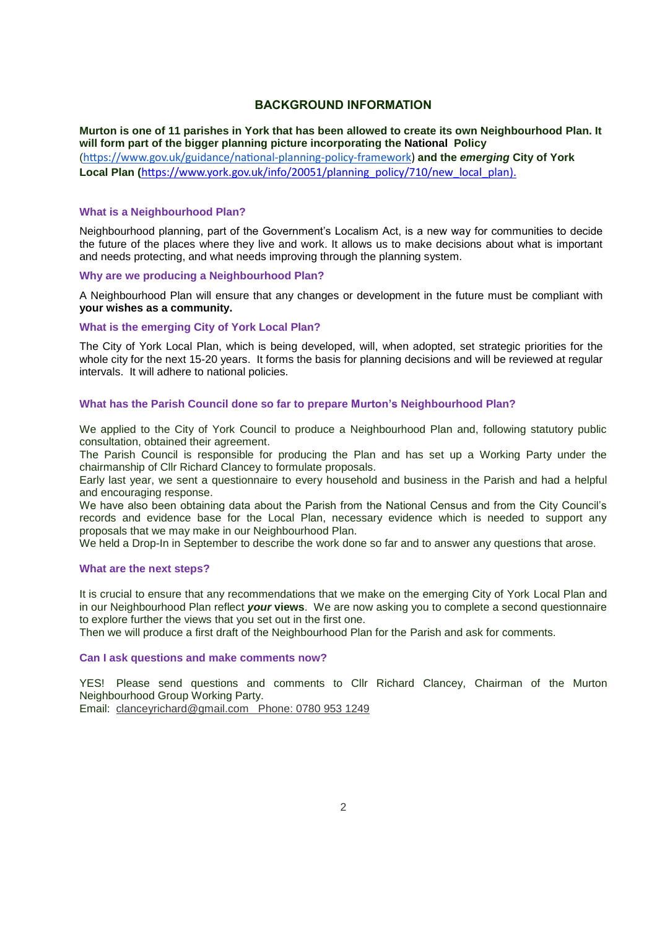### **BACKGROUND INFORMATION**

Murton is one of 11 parishes in York that has been allowed to create its own Neighbourhood Plan. It **will form part of the bigger planning picture incorporating the National Policy** ([https://www.gov.uk/guidance/national](https://www.gov.uk/guidance/national-planning-policy-framework)-planning-policy-framework) **and the** *emerging* **City of York Local Plan (**[https://www.york.gov.uk/info/20051/planning\\_policy/710/new\\_local\\_plan\)](https://www.york.gov.uk/info/20051/planning_policy/710/new_local_plan).

#### **What is a Neighbourhood Plan?**

Neighbourhood planning, part of the Government's Localism Act, is a new way for communities to decide the future of the places where they live and work. It allows us to make decisions about what is important and needs protecting, and what needs improving through the planning system.

#### **Why are we producing a Neighbourhood Plan?**

A Neighbourhood Plan will ensure that any changes or development in the future must be compliant with **your wishes as a community.**

#### **What is the emerging City of York Local Plan?**

The City of York Local Plan, which is being developed, will, when adopted, set strategic priorities for the whole city for the next 15-20 years. It forms the basis for planning decisions and will be reviewed at regular intervals. It will adhere to national policies.

#### **What has the Parish Council done so far to prepare Murton's Neighbourhood Plan?**

We applied to the City of York Council to produce a Neighbourhood Plan and, following statutory public consultation, obtained their agreement.

The Parish Council is responsible for producing the Plan and has set up a Working Party under the chairmanship of Cllr Richard Clancey to formulate proposals.

Early last year, we sent a questionnaire to every household and business in the Parish and had a helpful and encouraging response.

We have also been obtaining data about the Parish from the National Census and from the City Council's records and evidence base for the Local Plan, necessary evidence which is needed to support any proposals that we may make in our Neighbourhood Plan.

We held a Drop-In in September to describe the work done so far and to answer any questions that arose.

#### **What are the next steps?**

It is crucial to ensure that any recommendations that we make on the emerging City of York Local Plan and in our Neighbourhood Plan reflect *your* **views**. We are now asking you to complete a second questionnaire to explore further the views that you set out in the first one.

Then we will produce a first draft of the Neighbourhood Plan for the Parish and ask for comments.

#### **Can I ask questions and make comments now?**

YES! Please send questions and comments to Cllr Richard Clancey, Chairman of the Murton Neighbourhood Group Working Party.

Email: [clanceyrichard@gmail.com](mailto:clanceyrichard@gmail.com) Phone: 0780 953 1249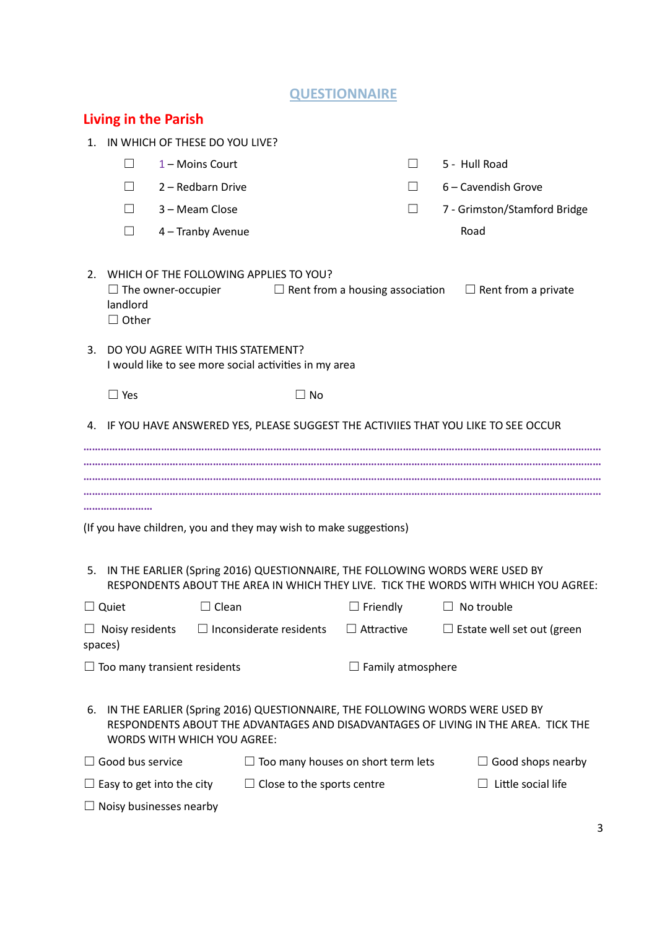# **QUESTIONNAIRE**

|         |                                   |                                                                   |                                                                                                                                                   | ____                     |         |                   |                                                                                     |  |
|---------|-----------------------------------|-------------------------------------------------------------------|---------------------------------------------------------------------------------------------------------------------------------------------------|--------------------------|---------|-------------------|-------------------------------------------------------------------------------------|--|
|         | <b>Living in the Parish</b>       |                                                                   |                                                                                                                                                   |                          |         |                   |                                                                                     |  |
| $1_{-}$ | IN WHICH OF THESE DO YOU LIVE?    |                                                                   |                                                                                                                                                   |                          |         |                   |                                                                                     |  |
|         | $\vert \ \ \vert$                 | 1 - Moins Court                                                   |                                                                                                                                                   |                          | $\perp$ | 5 - Hull Road     |                                                                                     |  |
|         | $\Box$                            | 2 - Redbarn Drive                                                 |                                                                                                                                                   |                          | $\Box$  |                   | 6 – Cavendish Grove                                                                 |  |
|         | П                                 | 3 - Meam Close                                                    |                                                                                                                                                   |                          | $\perp$ |                   | 7 - Grimston/Stamford Bridge                                                        |  |
|         | $\Box$                            | 4 - Tranby Avenue                                                 |                                                                                                                                                   |                          |         | Road              |                                                                                     |  |
| 2.      | landlord<br>$\Box$ Other          | $\Box$ The owner-occupier<br>3. DO YOU AGREE WITH THIS STATEMENT? | WHICH OF THE FOLLOWING APPLIES TO YOU?                                                                                                            |                          |         |                   | $\Box$ Rent from a housing association $\Box$ Rent from a private                   |  |
|         |                                   |                                                                   | I would like to see more social activities in my area                                                                                             |                          |         |                   |                                                                                     |  |
|         | $\Box$ Yes                        |                                                                   | $\square$ No                                                                                                                                      |                          |         |                   |                                                                                     |  |
|         |                                   |                                                                   | 4. IF YOU HAVE ANSWERED YES, PLEASE SUGGEST THE ACTIVIIES THAT YOU LIKE TO SEE OCCUR                                                              |                          |         |                   |                                                                                     |  |
|         |                                   |                                                                   |                                                                                                                                                   |                          |         |                   |                                                                                     |  |
|         |                                   |                                                                   |                                                                                                                                                   |                          |         |                   |                                                                                     |  |
| 5.      |                                   |                                                                   | (If you have children, you and they may wish to make suggestions)<br>IN THE EARLIER (Spring 2016) QUESTIONNAIRE, THE FOLLOWING WORDS WERE USED BY |                          |         |                   |                                                                                     |  |
|         |                                   |                                                                   |                                                                                                                                                   |                          |         |                   | RESPONDENTS ABOUT THE AREA IN WHICH THEY LIVE. TICK THE WORDS WITH WHICH YOU AGREE: |  |
|         | $\Box$ Quiet                      | $\Box$ Clean                                                      |                                                                                                                                                   | $\Box$ Friendly          |         | $\Box$ No trouble |                                                                                     |  |
|         | $\Box$ Noisy residents<br>spaces) |                                                                   | $\Box$ Inconsiderate residents                                                                                                                    | $\Box$ Attractive        |         |                   | $\Box$ Estate well set out (green                                                   |  |
|         |                                   | $\Box$ Too many transient residents                               |                                                                                                                                                   | $\Box$ Family atmosphere |         |                   |                                                                                     |  |
| 6.      |                                   | <b>WORDS WITH WHICH YOU AGREE:</b>                                | IN THE EARLIER (Spring 2016) QUESTIONNAIRE, THE FOLLOWING WORDS WERE USED BY                                                                      |                          |         |                   | RESPONDENTS ABOUT THE ADVANTAGES AND DISADVANTAGES OF LIVING IN THE AREA. TICK THE  |  |
|         | $\Box$ Good bus service           |                                                                   | $\Box$ Too many houses on short term lets                                                                                                         |                          |         |                   | $\Box$ Good shops nearby                                                            |  |
|         |                                   | $\Box$ Easy to get into the city                                  | $\Box$ Close to the sports centre                                                                                                                 |                          |         |                   | Little social life                                                                  |  |
|         |                                   | Noisy businesses nearby                                           |                                                                                                                                                   |                          |         |                   |                                                                                     |  |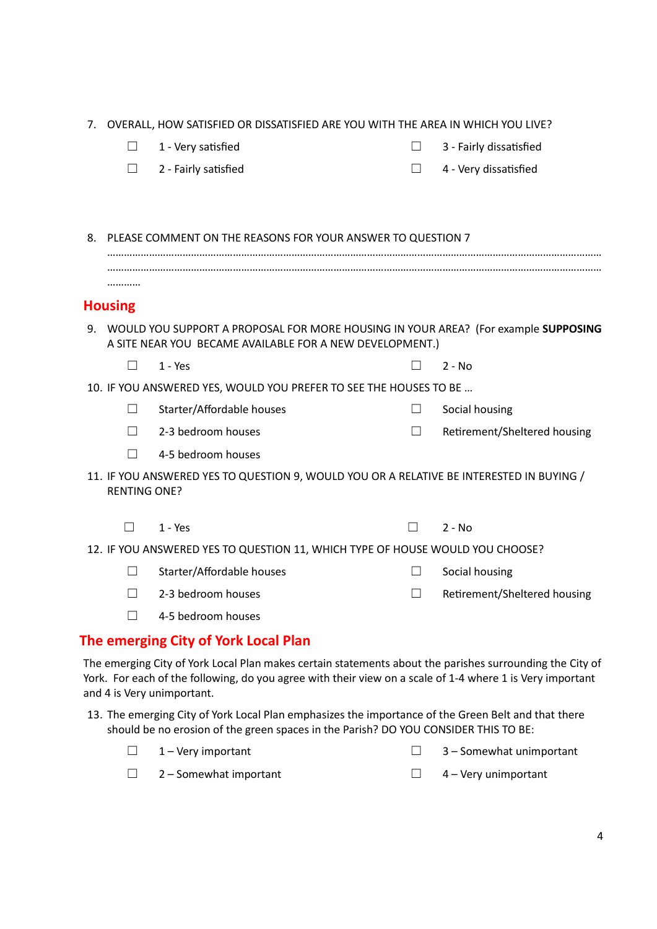|    | 7. OVERALL, HOW SATISFIED OR DISSATISFIED ARE YOU WITH THE AREA IN WHICH YOU LIVE? |                                                                                          |              |                              |  |  |
|----|------------------------------------------------------------------------------------|------------------------------------------------------------------------------------------|--------------|------------------------------|--|--|
|    | $\Box$                                                                             | 1 - Very satisfied                                                                       | $\Box$       | 3 - Fairly dissatisfied      |  |  |
|    | П                                                                                  | 2 - Fairly satisfied                                                                     | $\Box$       | 4 - Very dissatisfied        |  |  |
|    |                                                                                    |                                                                                          |              |                              |  |  |
|    |                                                                                    |                                                                                          |              |                              |  |  |
| 8. |                                                                                    | PLEASE COMMENT ON THE REASONS FOR YOUR ANSWER TO QUESTION 7                              |              |                              |  |  |
|    |                                                                                    |                                                                                          |              |                              |  |  |
|    |                                                                                    |                                                                                          |              |                              |  |  |
|    | <b>Housing</b>                                                                     |                                                                                          |              |                              |  |  |
|    |                                                                                    | 9. WOULD YOU SUPPORT A PROPOSAL FOR MORE HOUSING IN YOUR AREA? (For example SUPPOSING    |              |                              |  |  |
|    |                                                                                    | A SITE NEAR YOU BECAME AVAILABLE FOR A NEW DEVELOPMENT.)                                 |              |                              |  |  |
|    | $\mathsf{L}$                                                                       | $1 - Yes$                                                                                |              | $2 - No$                     |  |  |
|    |                                                                                    | 10. IF YOU ANSWERED YES, WOULD YOU PREFER TO SEE THE HOUSES TO BE                        |              |                              |  |  |
|    | $\perp$                                                                            | Starter/Affordable houses                                                                | $\Box$       | Social housing               |  |  |
|    | П.                                                                                 | 2-3 bedroom houses                                                                       | $\Box$       | Retirement/Sheltered housing |  |  |
|    | П                                                                                  | 4-5 bedroom houses                                                                       |              |                              |  |  |
|    | <b>RENTING ONE?</b>                                                                | 11. IF YOU ANSWERED YES TO QUESTION 9, WOULD YOU OR A RELATIVE BE INTERESTED IN BUYING / |              |                              |  |  |
|    | $\Box$                                                                             | $1 - Yes$                                                                                | $\mathsf{L}$ | $2 - No$                     |  |  |
|    |                                                                                    | 12. IF YOU ANSWERED YES TO QUESTION 11, WHICH TYPE OF HOUSE WOULD YOU CHOOSE?            |              |                              |  |  |
|    | $\Box$                                                                             | Starter/Affordable houses                                                                | $\Box$       | Social housing               |  |  |
|    | П                                                                                  | 2-3 bedroom houses                                                                       | П            | Retirement/Sheltered housing |  |  |
|    | $\Box$                                                                             | 4-5 bedroom houses                                                                       |              |                              |  |  |
|    |                                                                                    | The emerging City of York Local Plan                                                     |              |                              |  |  |

The emerging City of York Local Plan makes certain statements about the parishes surrounding the City of York. For each of the following, do you agree with their view on a scale of 1-4 where 1 is Very important and 4 is Very unimportant.

13. The emerging City of York Local Plan emphasizes the importance of the Green Belt and that there should be no erosion of the green spaces in the Parish? DO YOU CONSIDER THIS TO BE:

| $\Box$ 1 – Very important     | $\Box$ 3 – Somewhat unimportant |
|-------------------------------|---------------------------------|
| $\Box$ 2 – Somewhat important | $\Box$ 4 – Very unimportant     |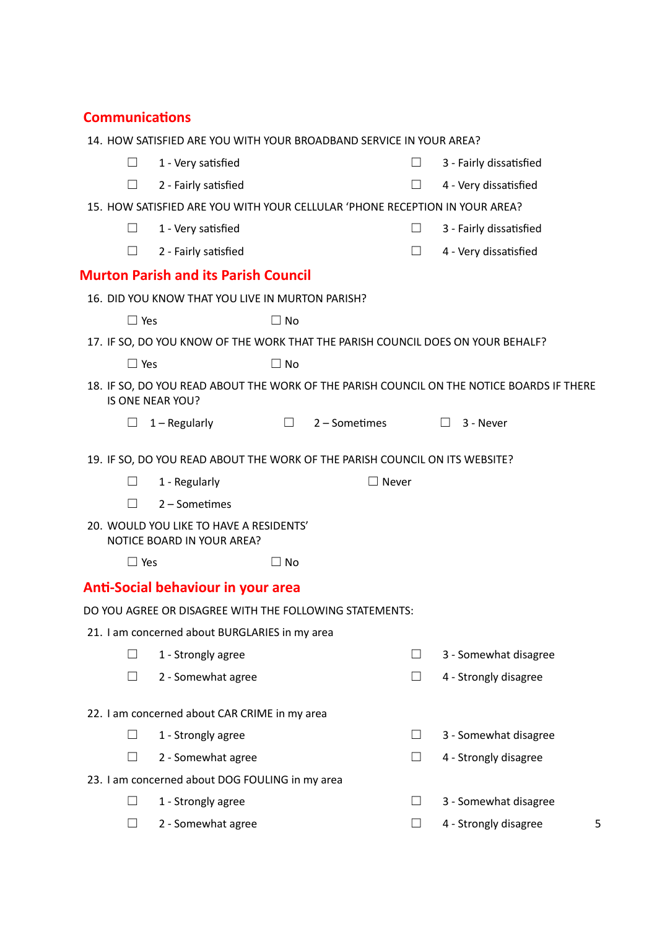# **Communications**

|  |            | 14. HOW SATISFIED ARE YOU WITH YOUR BROADBAND SERVICE IN YOUR AREA?         |           |               |        |                                                                                           |
|--|------------|-----------------------------------------------------------------------------|-----------|---------------|--------|-------------------------------------------------------------------------------------------|
|  | $\Box$     | 1 - Very satisfied                                                          |           |               | $\Box$ | 3 - Fairly dissatisfied                                                                   |
|  | $\Box$     | 2 - Fairly satisfied                                                        |           |               | $\Box$ | 4 - Very dissatisfied                                                                     |
|  |            | 15. HOW SATISFIED ARE YOU WITH YOUR CELLULAR 'PHONE RECEPTION IN YOUR AREA? |           |               |        |                                                                                           |
|  | $\Box$     | 1 - Very satisfied                                                          |           |               | $\Box$ | 3 - Fairly dissatisfied                                                                   |
|  | $\Box$     | 2 - Fairly satisfied                                                        |           |               | $\Box$ | 4 - Very dissatisfied                                                                     |
|  |            | <b>Murton Parish and its Parish Council</b>                                 |           |               |        |                                                                                           |
|  |            | 16. DID YOU KNOW THAT YOU LIVE IN MURTON PARISH?                            |           |               |        |                                                                                           |
|  | $\Box$ Yes |                                                                             | $\Box$ No |               |        |                                                                                           |
|  |            |                                                                             |           |               |        | 17. IF SO, DO YOU KNOW OF THE WORK THAT THE PARISH COUNCIL DOES ON YOUR BEHALF?           |
|  | $\Box$ Yes |                                                                             | $\Box$ No |               |        |                                                                                           |
|  |            | IS ONE NEAR YOU?                                                            |           |               |        | 18. IF SO, DO YOU READ ABOUT THE WORK OF THE PARISH COUNCIL ON THE NOTICE BOARDS IF THERE |
|  | ш          | $1 -$ Regularly                                                             | $\Box$    | 2 – Sometimes |        | 3 - Never<br>$\perp$                                                                      |
|  |            |                                                                             |           |               |        |                                                                                           |
|  |            | 19. IF SO, DO YOU READ ABOUT THE WORK OF THE PARISH COUNCIL ON ITS WEBSITE? |           |               |        |                                                                                           |
|  | $\Box$     | 1 - Regularly                                                               |           | $\Box$ Never  |        |                                                                                           |
|  | $\Box$     | 2 - Sometimes                                                               |           |               |        |                                                                                           |
|  |            | 20. WOULD YOU LIKE TO HAVE A RESIDENTS'<br>NOTICE BOARD IN YOUR AREA?       |           |               |        |                                                                                           |
|  | $\Box$ Yes |                                                                             | $\Box$ No |               |        |                                                                                           |
|  |            | <b>Anti-Social behaviour in your area</b>                                   |           |               |        |                                                                                           |
|  |            | DO YOU AGREE OR DISAGREE WITH THE FOLLOWING STATEMENTS:                     |           |               |        |                                                                                           |
|  |            | 21. I am concerned about BURGLARIES in my area                              |           |               |        |                                                                                           |
|  | $\Box$     | 1 - Strongly agree                                                          |           |               | $\Box$ | 3 - Somewhat disagree                                                                     |
|  | $\Box$     | 2 - Somewhat agree                                                          |           |               | $\Box$ | 4 - Strongly disagree                                                                     |
|  |            |                                                                             |           |               |        |                                                                                           |
|  |            | 22. I am concerned about CAR CRIME in my area                               |           |               |        |                                                                                           |
|  | $\Box$     | 1 - Strongly agree                                                          |           |               | $\Box$ | 3 - Somewhat disagree                                                                     |
|  | П          | 2 - Somewhat agree                                                          |           |               | $\Box$ | 4 - Strongly disagree                                                                     |
|  |            | 23. I am concerned about DOG FOULING in my area                             |           |               |        |                                                                                           |
|  | $\Box$     | 1 - Strongly agree                                                          |           |               | $\Box$ | 3 - Somewhat disagree                                                                     |
|  | $\Box$     | 2 - Somewhat agree                                                          |           |               | $\Box$ | 4 - Strongly disagree<br>5                                                                |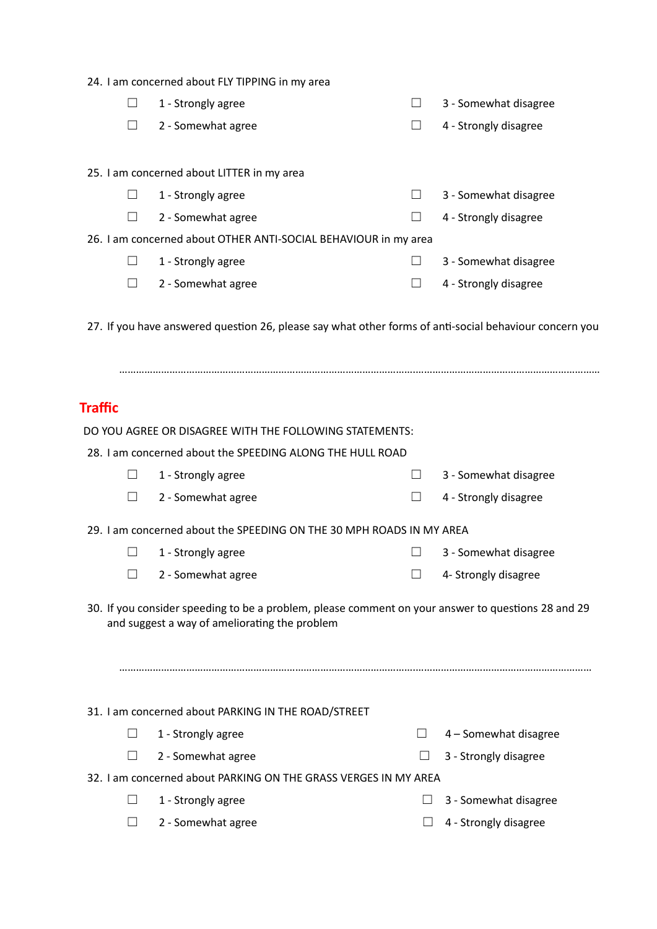24. I am concerned about FLY TIPPING in my area

|                                                                 |                                            | 1 - Strongly agree |  | 3 - Somewhat disagree |  |  |  |  |
|-----------------------------------------------------------------|--------------------------------------------|--------------------|--|-----------------------|--|--|--|--|
|                                                                 |                                            | 2 - Somewhat agree |  | 4 - Strongly disagree |  |  |  |  |
|                                                                 |                                            |                    |  |                       |  |  |  |  |
|                                                                 | 25. I am concerned about LITTER in my area |                    |  |                       |  |  |  |  |
|                                                                 |                                            | 1 - Strongly agree |  | 3 - Somewhat disagree |  |  |  |  |
|                                                                 |                                            | 2 - Somewhat agree |  | 4 - Strongly disagree |  |  |  |  |
| 26. I am concerned about OTHER ANTI-SOCIAL BEHAVIOUR in my area |                                            |                    |  |                       |  |  |  |  |
|                                                                 |                                            | 1 - Strongly agree |  | 3 - Somewhat disagree |  |  |  |  |
|                                                                 |                                            | 2 - Somewhat agree |  | 4 - Strongly disagree |  |  |  |  |
|                                                                 |                                            |                    |  |                       |  |  |  |  |

27. If you have answered question 26, please say what other forms of anti-social behaviour concern you

…………………………………………………………………………………………….…………………………………………………………

# **Traffic**

| DO YOU AGREE OR DISAGREE WITH THE FOLLOWING STATEMENTS:                                                                                             |                                                                      |         |                       |  |  |  |  |
|-----------------------------------------------------------------------------------------------------------------------------------------------------|----------------------------------------------------------------------|---------|-----------------------|--|--|--|--|
| 28. Lam concerned about the SPEEDING ALONG THE HULL ROAD                                                                                            |                                                                      |         |                       |  |  |  |  |
| $\perp$                                                                                                                                             | 1 - Strongly agree                                                   | $\perp$ | 3 - Somewhat disagree |  |  |  |  |
| $\overline{\phantom{a}}$                                                                                                                            | 2 - Somewhat agree                                                   |         | 4 - Strongly disagree |  |  |  |  |
|                                                                                                                                                     | 29. I am concerned about the SPEEDING ON THE 30 MPH ROADS IN MY AREA |         |                       |  |  |  |  |
| $\perp$                                                                                                                                             | 1 - Strongly agree                                                   | $\Box$  | 3 - Somewhat disagree |  |  |  |  |
| П                                                                                                                                                   | 2 - Somewhat agree                                                   |         | 4- Strongly disagree  |  |  |  |  |
| 30. If you consider speeding to be a problem, please comment on your answer to questions 28 and 29<br>and suggest a way of ameliorating the problem |                                                                      |         |                       |  |  |  |  |
|                                                                                                                                                     | 31. I am concerned about PARKING IN THE ROAD/STREET                  |         |                       |  |  |  |  |
| $\perp$                                                                                                                                             | 1 - Strongly agree                                                   | $\Box$  | 4 - Somewhat disagree |  |  |  |  |
| $\mathsf{L}$                                                                                                                                        | 2 - Somewhat agree                                                   |         | 3 - Strongly disagree |  |  |  |  |
|                                                                                                                                                     | 32. I am concerned about PARKING ON THE GRASS VERGES IN MY AREA      |         |                       |  |  |  |  |
|                                                                                                                                                     | 1 - Strongly agree                                                   |         | 3 - Somewhat disagree |  |  |  |  |

□ 2 - Somewhat agree □ 2 - Somewhat agree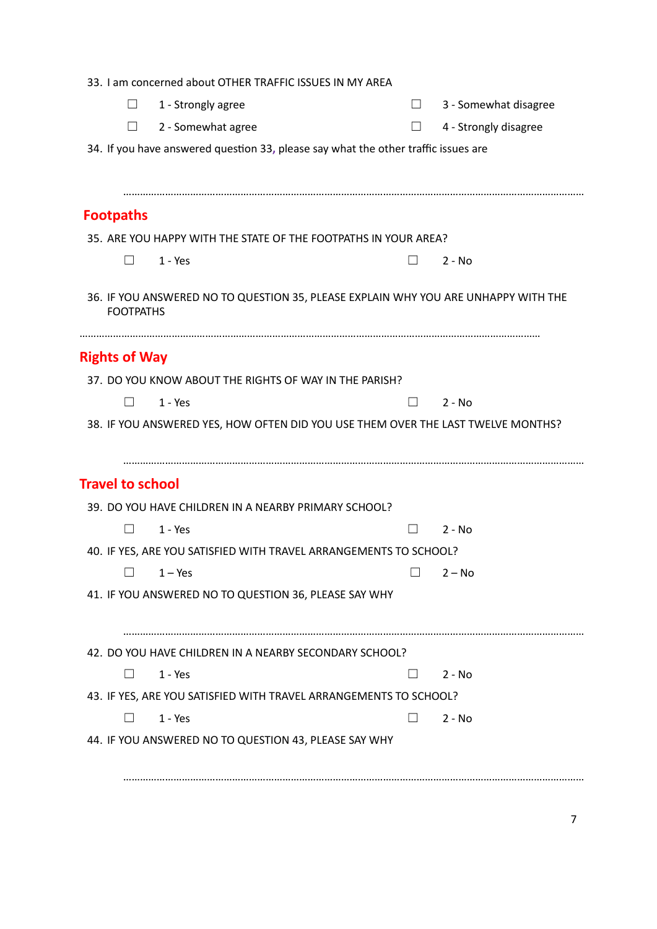|                         | 33. I am concerned about OTHER TRAFFIC ISSUES IN MY AREA                           |                |                       |
|-------------------------|------------------------------------------------------------------------------------|----------------|-----------------------|
| $\Box$                  | 1 - Strongly agree                                                                 | $\Box$         | 3 - Somewhat disagree |
| $\perp$                 | 2 - Somewhat agree                                                                 | $\Box$         | 4 - Strongly disagree |
|                         | 34. If you have answered question 33, please say what the other traffic issues are |                |                       |
|                         |                                                                                    |                |                       |
|                         |                                                                                    |                |                       |
| <b>Footpaths</b>        |                                                                                    |                |                       |
|                         | 35. ARE YOU HAPPY WITH THE STATE OF THE FOOTPATHS IN YOUR AREA?                    |                |                       |
| $\perp$                 | $1 - Yes$                                                                          | $\perp$        | $2 - No$              |
| <b>FOOTPATHS</b>        | 36. IF YOU ANSWERED NO TO QUESTION 35, PLEASE EXPLAIN WHY YOU ARE UNHAPPY WITH THE |                |                       |
| <b>Rights of Way</b>    |                                                                                    |                |                       |
|                         | 37. DO YOU KNOW ABOUT THE RIGHTS OF WAY IN THE PARISH?                             |                |                       |
|                         | $1 - Yes$                                                                          | $\Box$         | $2 - No$              |
|                         | 38. IF YOU ANSWERED YES, HOW OFTEN DID YOU USE THEM OVER THE LAST TWELVE MONTHS?   |                |                       |
|                         |                                                                                    |                |                       |
| <b>Travel to school</b> |                                                                                    |                |                       |
|                         | 39. DO YOU HAVE CHILDREN IN A NEARBY PRIMARY SCHOOL?                               |                |                       |
| $\Box$                  | $1 - Yes$                                                                          | $\blacksquare$ | $2 - No$              |
|                         | 40. IF YES, ARE YOU SATISFIED WITH TRAVEL ARRANGEMENTS TO SCHOOL?                  |                |                       |
|                         | $\Box$ 1 – Yes                                                                     | $\Box$         | $2 - No$              |
|                         | 41. IF YOU ANSWERED NO TO QUESTION 36, PLEASE SAY WHY                              |                |                       |
|                         |                                                                                    |                |                       |
|                         |                                                                                    |                |                       |
|                         |                                                                                    |                |                       |
|                         | 42. DO YOU HAVE CHILDREN IN A NEARBY SECONDARY SCHOOL?                             |                |                       |
| $\perp$                 | $1 - Yes$                                                                          | $\perp$        | $2 - No$              |
|                         | 43. IF YES, ARE YOU SATISFIED WITH TRAVEL ARRANGEMENTS TO SCHOOL?                  |                |                       |
|                         | $1 - Yes$                                                                          | $\mathsf{L}$   | $2 - No$              |
|                         | 44. IF YOU ANSWERED NO TO QUESTION 43, PLEASE SAY WHY                              |                |                       |